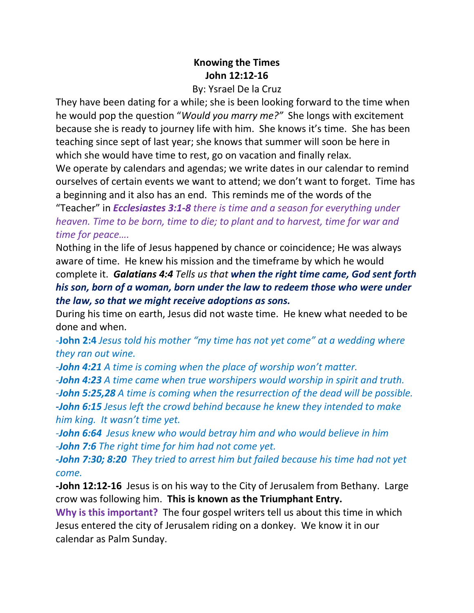## **Knowing the Times John 12:12-16**

## By: Ysrael De la Cruz

They have been dating for a while; she is been looking forward to the time when he would pop the question "*Would you marry me?"* She longs with excitement because she is ready to journey life with him. She knows it's time. She has been teaching since sept of last year; she knows that summer will soon be here in which she would have time to rest, go on vacation and finally relax.

We operate by calendars and agendas; we write dates in our calendar to remind ourselves of certain events we want to attend; we don't want to forget. Time has a beginning and it also has an end. This reminds me of the words of the

"Teacher" in *Ecclesiastes 3:1-8 there is time and a season for everything under heaven. Time to be born, time to die; to plant and to harvest, time for war and time for peace….*

Nothing in the life of Jesus happened by chance or coincidence; He was always aware of time. He knew his mission and the timeframe by which he would complete it. *Galatians 4:4 Tells us that when the right time came, God sent forth his son, born of a woman, born under the law to redeem those who were under the law, so that we might receive adoptions as sons.*

During his time on earth, Jesus did not waste time. He knew what needed to be done and when.

-**John 2:4** *Jesus told his mother "my time has not yet come" at a wedding where they ran out wine.*

*-John 4:21 A time is coming when the place of worship won't matter.*

*-John 4:23 A time came when true worshipers would worship in spirit and truth. -John 5:25,28 A time is coming when the resurrection of the dead will be possible. -John 6:15 Jesus left the crowd behind because he knew they intended to make him king. It wasn't time yet.*

*-John 6:64 Jesus knew who would betray him and who would believe in him -John 7:6 The right time for him had not come yet.*

*-John 7:30; 8:20 They tried to arrest him but failed because his time had not yet come.*

**-John 12:12-16** Jesus is on his way to the City of Jerusalem from Bethany. Large crow was following him. **This is known as the Triumphant Entry.**

**Why is this important?** The four gospel writers tell us about this time in which Jesus entered the city of Jerusalem riding on a donkey. We know it in our calendar as Palm Sunday.